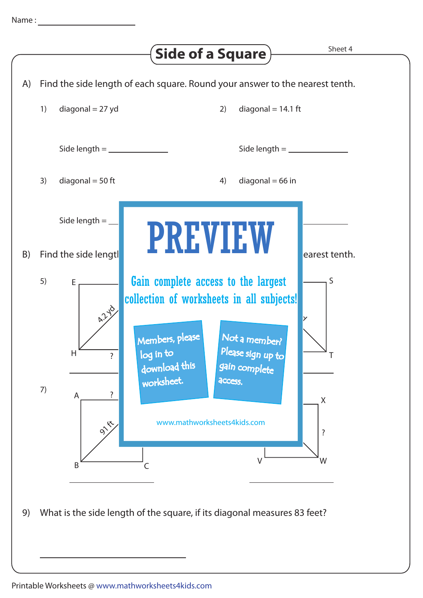